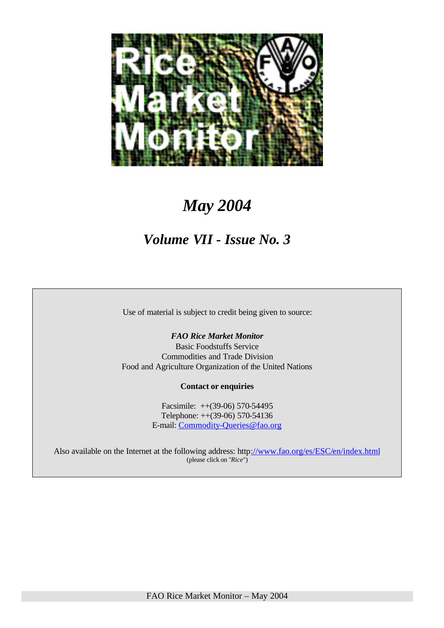

# *May 2004*

# *Volume VII - Issue No. 3*

Use of material is subject to credit being given to source:

### *FAO Rice Market Monitor*

Basic Foodstuffs Service Commodities and Trade Division Food and Agriculture Organization of the United Nations

#### **Contact or enquiries**

Facsimile: ++(39-06) 570-54495 Telephone: ++(39-06) 570-54136 E-mail: Commodity-Queries@fao.org

Also available on the Internet at the following address: http://www.fao.org/es/ESC/en/index.html (please click on "*Rice*")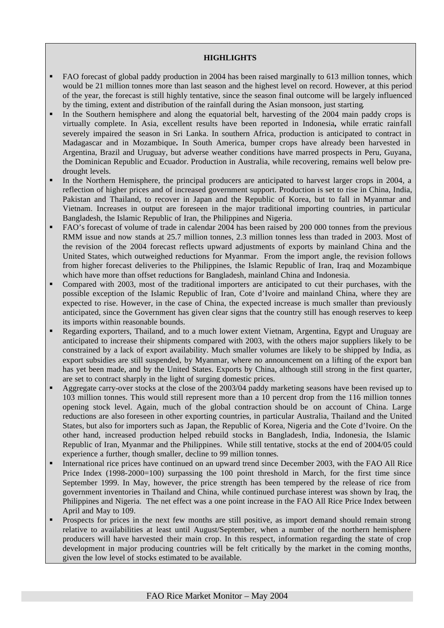#### **HIGHLIGHTS**

- ß FAO forecast of global paddy production in 2004 has been raised marginally to 613 million tonnes, which would be 21 million tonnes more than last season and the highest level on record. However, at this period of the year, the forecast is still highly tentative, since the season final outcome will be largely influenced by the timing, extent and distribution of the rainfall during the Asian monsoon, just starting.
- In the Southern hemisphere and along the equatorial belt, harvesting of the 2004 main paddy crops is virtually complete. In Asia, excellent results have been reported in Indonesia**,** while erratic rainfall severely impaired the season in Sri Lanka. In southern Africa, production is anticipated to contract in Madagascar and in Mozambique**.** In South America, bumper crops have already been harvested in Argentina, Brazil and Uruguay, but adverse weather conditions have marred prospects in Peru, Guyana, the Dominican Republic and Ecuador. Production in Australia, while recovering, remains well below predrought levels.
- In the Northern Hemisphere, the principal producers are anticipated to harvest larger crops in 2004, a reflection of higher prices and of increased government support. Production is set to rise in China, India, Pakistan and Thailand, to recover in Japan and the Republic of Korea, but to fall in Myanmar and Vietnam. Increases in output are foreseen in the major traditional importing countries, in particular Bangladesh, the Islamic Republic of Iran, the Philippines and Nigeria.
- ß FAO's forecast of volume of trade in calendar 2004 has been raised by 200 000 tonnes from the previous RMM issue and now stands at 25.7 million tonnes, 2.3 million tonnes less than traded in 2003. Most of the revision of the 2004 forecast reflects upward adjustments of exports by mainland China and the United States, which outweighed reductions for Myanmar. From the import angle, the revision follows from higher forecast deliveries to the Philippines, the Islamic Republic of Iran, Iraq and Mozambique which have more than offset reductions for Bangladesh, mainland China and Indonesia.
- Compared with 2003, most of the traditional importers are anticipated to cut their purchases, with the possible exception of the Islamic Republic of Iran, Cote d'Ivoire and mainland China, where they are expected to rise. However, in the case of China, the expected increase is much smaller than previously anticipated, since the Government has given clear signs that the country still has enough reserves to keep its imports within reasonable bounds.
- ß Regarding exporters, Thailand, and to a much lower extent Vietnam, Argentina, Egypt and Uruguay are anticipated to increase their shipments compared with 2003, with the others major suppliers likely to be constrained by a lack of export availability. Much smaller volumes are likely to be shipped by India, as export subsidies are still suspended, by Myanmar, where no announcement on a lifting of the export ban has yet been made, and by the United States. Exports by China, although still strong in the first quarter, are set to contract sharply in the light of surging domestic prices.
- Aggregate carry-over stocks at the close of the 2003/04 paddy marketing seasons have been revised up to 103 million tonnes. This would still represent more than a 10 percent drop from the 116 million tonnes opening stock level. Again, much of the global contraction should be on account of China. Large reductions are also foreseen in other exporting countries, in particular Australia, Thailand and the United States, but also for importers such as Japan, the Republic of Korea, Nigeria and the Cote d'Ivoire. On the other hand, increased production helped rebuild stocks in Bangladesh, India, Indonesia, the Islamic Republic of Iran, Myanmar and the Philippines. While still tentative, stocks at the end of 2004/05 could experience a further, though smaller, decline to 99 million tonnes.
- ß International rice prices have continued on an upward trend since December 2003, with the FAO All Rice Price Index (1998-2000=100) surpassing the 100 point threshold in March, for the first time since September 1999. In May, however, the price strength has been tempered by the release of rice from government inventories in Thailand and China, while continued purchase interest was shown by Iraq, the Philippines and Nigeria. The net effect was a one point increase in the FAO All Rice Price Index between April and May to 109.
- ß Prospects for prices in the next few months are still positive, as import demand should remain strong relative to availabilities at least until August/September, when a number of the northern hemisphere producers will have harvested their main crop. In this respect, information regarding the state of crop development in major producing countries will be felt critically by the market in the coming months, given the low level of stocks estimated to be available.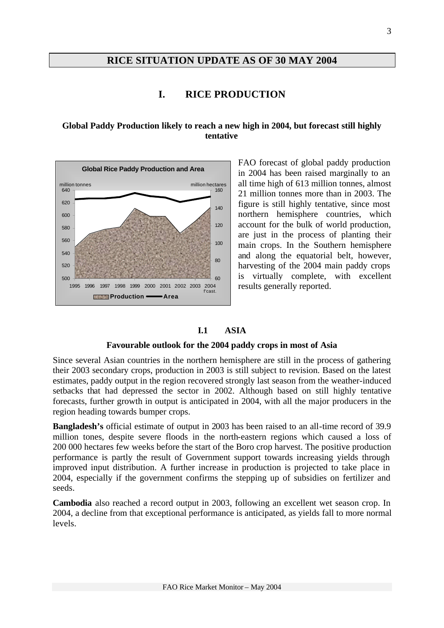# **RICE SITUATION UPDATE AS OF 30 MAY 2004**

# **I. RICE PRODUCTION**

#### **Global Paddy Production likely to reach a new high in 2004, but forecast still highly tentative**



FAO forecast of global paddy production in 2004 has been raised marginally to an all time high of 613 million tonnes, almost 21 million tonnes more than in 2003. The figure is still highly tentative, since most northern hemisphere countries, which account for the bulk of world production, are just in the process of planting their main crops. In the Southern hemisphere and along the equatorial belt, however, harvesting of the 2004 main paddy crops is virtually complete, with excellent results generally reported.

#### **I.1 ASIA**

#### **Favourable outlook for the 2004 paddy crops in most of Asia**

Since several Asian countries in the northern hemisphere are still in the process of gathering their 2003 secondary crops, production in 2003 is still subject to revision. Based on the latest estimates, paddy output in the region recovered strongly last season from the weather-induced setbacks that had depressed the sector in 2002. Although based on still highly tentative forecasts, further growth in output is anticipated in 2004, with all the major producers in the region heading towards bumper crops.

**Bangladesh's** official estimate of output in 2003 has been raised to an all-time record of 39.9 million tones, despite severe floods in the north-eastern regions which caused a loss of 200 000 hectares few weeks before the start of the Boro crop harvest. The positive production performance is partly the result of Government support towards increasing yields through improved input distribution. A further increase in production is projected to take place in 2004, especially if the government confirms the stepping up of subsidies on fertilizer and seeds.

**Cambodia** also reached a record output in 2003, following an excellent wet season crop. In 2004, a decline from that exceptional performance is anticipated, as yields fall to more normal levels.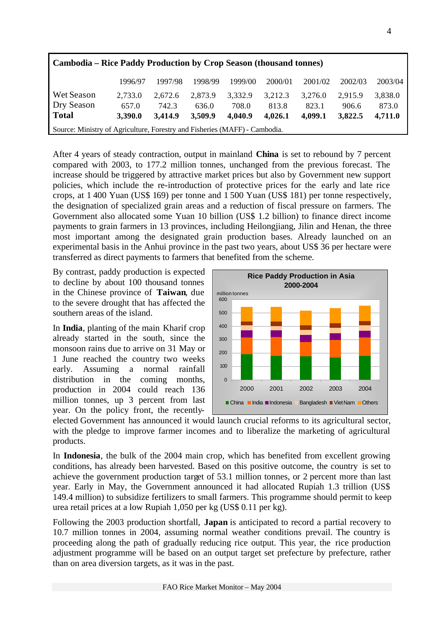| <b>Cambodia – Rice Paddy Production by Crop Season (thousand tonnes)</b>   |         |         |         |         |         |         |         |         |  |  |
|----------------------------------------------------------------------------|---------|---------|---------|---------|---------|---------|---------|---------|--|--|
|                                                                            | 1996/97 | 1997/98 | 1998/99 | 1999/00 | 2000/01 | 2001/02 | 2002/03 | 2003/04 |  |  |
| Wet Season                                                                 | 2,733.0 | 2.672.6 | 2,873.9 | 3,332.9 | 3,212.3 | 3.276.0 | 2.915.9 | 3,838.0 |  |  |
| Dry Season                                                                 | 657.0   | 742.3   | 636.0   | 708.0   | 813.8   | 823.1   | 906.6   | 873.0   |  |  |
| <b>Total</b>                                                               | 3,390.0 | 3.414.9 | 3,509.9 | 4,040.9 | 4,026.1 | 4.099.1 | 3,822.5 | 4,711.0 |  |  |
| Source: Ministry of Agriculture, Forestry and Fisheries (MAFF) - Cambodia. |         |         |         |         |         |         |         |         |  |  |

After 4 years of steady contraction, output in mainland **China** is set to rebound by 7 percent compared with 2003, to 177.2 million tonnes, unchanged from the previous forecast. The increase should be triggered by attractive market prices but also by Government new support policies, which include the re-introduction of protective prices for the early and late rice crops, at 1 400 Yuan (US\$ 169) per tonne and 1 500 Yuan (US\$ 181) per tonne respectively, the designation of specialized grain areas and a reduction of fiscal pressure on farmers. The Government also allocated some Yuan 10 billion (US\$ 1.2 billion) to finance direct income payments to grain farmers in 13 provinces, including Heilongjiang, Jilin and Henan, the three most important among the designated grain production bases. Already launched on an experimental basis in the Anhui province in the past two years, about US\$ 36 per hectare were transferred as direct payments to farmers that benefited from the scheme.

By contrast, paddy production is expected to decline by about 100 thousand tonnes in the Chinese province of **Taiwan**, due to the severe drought that has affected the southern areas of the island.

In **India**, planting of the main Kharif crop already started in the south, since the monsoon rains due to arrive on 31 May or 1 June reached the country two weeks early. Assuming a normal rainfall distribution in the coming months, production in 2004 could reach 136 million tonnes, up 3 percent from last year. On the policy front, the recently-



elected Government has announced it would launch crucial reforms to its agricultural sector, with the pledge to improve farmer incomes and to liberalize the marketing of agricultural products.

In **Indonesia**, the bulk of the 2004 main crop, which has benefited from excellent growing conditions, has already been harvested. Based on this positive outcome, the country is set to achieve the government production target of 53.1 million tonnes, or 2 percent more than last year. Early in May, the Government announced it had allocated Rupiah 1.3 trillion (US\$ 149.4 million) to subsidize fertilizers to small farmers. This programme should permit to keep urea retail prices at a low Rupiah 1,050 per kg (US\$ 0.11 per kg).

Following the 2003 production shortfall, **Japan** is anticipated to record a partial recovery to 10.7 million tonnes in 2004, assuming normal weather conditions prevail. The country is proceeding along the path of gradually reducing rice output. This year, the rice production adjustment programme will be based on an output target set prefecture by prefecture, rather than on area diversion targets, as it was in the past.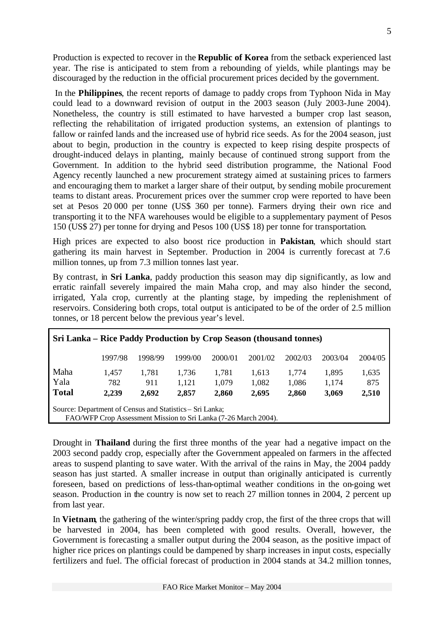Production is expected to recover in the **Republic of Korea** from the setback experienced last year. The rise is anticipated to stem from a rebounding of yields, while plantings may be discouraged by the reduction in the official procurement prices decided by the government.

In the **Philippines**, the recent reports of damage to paddy crops from Typhoon Nida in May could lead to a downward revision of output in the 2003 season (July 2003-June 2004). Nonetheless, the country is still estimated to have harvested a bumper crop last season, reflecting the rehabilitation of irrigated production systems, an extension of plantings to fallow or rainfed lands and the increased use of hybrid rice seeds. As for the 2004 season, just about to begin, production in the country is expected to keep rising despite prospects of drought-induced delays in planting, mainly because of continued strong support from the Government. In addition to the hybrid seed distribution programme, the National Food Agency recently launched a new procurement strategy aimed at sustaining prices to farmers and encouraging them to market a larger share of their output, by sending mobile procurement teams to distant areas. Procurement prices over the summer crop were reported to have been set at Pesos 20 000 per tonne (US\$ 360 per tonne). Farmers drying their own rice and transporting it to the NFA warehouses would be eligible to a supplementary payment of Pesos 150 (US\$ 27) per tonne for drying and Pesos 100 (US\$ 18) per tonne for transportation.

High prices are expected to also boost rice production in **Pakistan**, which should start gathering its main harvest in September. Production in 2004 is currently forecast at 7.6 million tonnes, up from 7.3 million tonnes last year.

By contrast, in **Sri Lanka**, paddy production this season may dip significantly, as low and erratic rainfall severely impaired the main Maha crop, and may also hinder the second, irrigated, Yala crop, currently at the planting stage, by impeding the replenishment of reservoirs. Considering both crops, total output is anticipated to be of the order of 2.5 million tonnes, or 18 percent below the previous year's level.

| Sri Lanka - Rice Paddy Production by Crop Season (thousand tonnes)                                                          |         |         |         |         |         |         |         |         |  |  |  |
|-----------------------------------------------------------------------------------------------------------------------------|---------|---------|---------|---------|---------|---------|---------|---------|--|--|--|
|                                                                                                                             | 1997/98 | 1998/99 | 1999/00 | 2000/01 | 2001/02 | 2002/03 | 2003/04 | 2004/05 |  |  |  |
| Maha                                                                                                                        | 1.457   | 1.781   | 1.736   | 1,781   | 1,613   | 1.774   | 1,895   | 1,635   |  |  |  |
| Yala                                                                                                                        | 782     | 911     | 1,121   | 1,079   | 1,082   | 1,086   | 1,174   | 875     |  |  |  |
| <b>Total</b>                                                                                                                | 2,239   | 2.692   | 2,857   | 2,860   | 2,695   | 2,860   | 3,069   | 2,510   |  |  |  |
| Source: Department of Census and Statistics – Sri Lanka;<br>FAO/WFP Crop Assessment Mission to Sri Lanka (7-26 March 2004). |         |         |         |         |         |         |         |         |  |  |  |

Drought in **Thailand** during the first three months of the year had a negative impact on the 2003 second paddy crop, especially after the Government appealed on farmers in the affected areas to suspend planting to save water. With the arrival of the rains in May, the 2004 paddy season has just started. A smaller increase in output than originally anticipated is currently foreseen, based on predictions of less-than-optimal weather conditions in the on-going wet season. Production in the country is now set to reach 27 million tonnes in 2004, 2 percent up from last year.

In **Vietnam**, the gathering of the winter/spring paddy crop, the first of the three crops that will be harvested in 2004, has been completed with good results. Overall, however, the Government is forecasting a smaller output during the 2004 season, as the positive impact of higher rice prices on plantings could be dampened by sharp increases in input costs, especially fertilizers and fuel. The official forecast of production in 2004 stands at 34.2 million tonnes,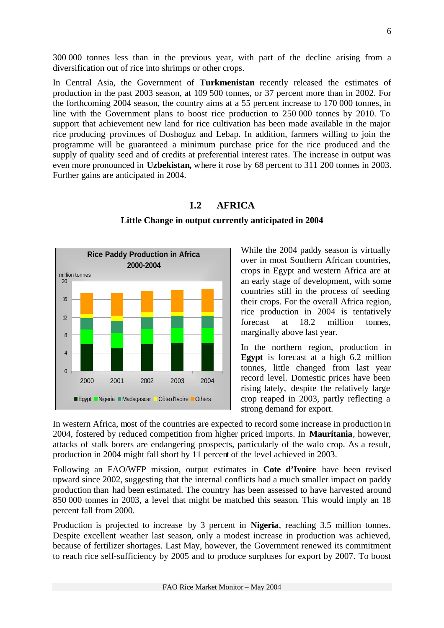300 000 tonnes less than in the previous year, with part of the decline arising from a diversification out of rice into shrimps or other crops.

In Central Asia, the Government of **Turkmenistan** recently released the estimates of production in the past 2003 season, at 109 500 tonnes, or 37 percent more than in 2002. For the forthcoming 2004 season, the country aims at a 55 percent increase to 170 000 tonnes, in line with the Government plans to boost rice production to 250 000 tonnes by 2010. To support that achievement new land for rice cultivation has been made available in the major rice producing provinces of Doshoguz and Lebap. In addition, farmers willing to join the programme will be guaranteed a minimum purchase price for the rice produced and the supply of quality seed and of credits at preferential interest rates. The increase in output was even more pronounced in **Uzbekistan,** where it rose by 68 percent to 311 200 tonnes in 2003. Further gains are anticipated in 2004.

# **I.2 AFRICA**



#### **Little Change in output currently anticipated in 2004**

While the 2004 paddy season is virtually over in most Southern African countries, crops in Egypt and western Africa are at an early stage of development, with some countries still in the process of seeding their crops. For the overall Africa region, rice production in 2004 is tentatively forecast at 18.2 million tonnes, marginally above last year.

In the northern region, production in **Egypt** is forecast at a high 6.2 million tonnes, little changed from last year record level. Domestic prices have been rising lately, despite the relatively large crop reaped in 2003, partly reflecting a strong demand for export.

In western Africa, most of the countries are expected to record some increase in production in 2004, fostered by reduced competition from higher priced imports. In **Mauritania**, however, attacks of stalk borers are endangering prospects, particularly of the walo crop. As a result, production in 2004 might fall short by 11 percent of the level achieved in 2003.

Following an FAO/WFP mission, output estimates in **Cote d'Ivoire** have been revised upward since 2002, suggesting that the internal conflicts had a much smaller impact on paddy production than had been estimated. The country has been assessed to have harvested around 850 000 tonnes in 2003, a level that might be matched this season. This would imply an 18 percent fall from 2000.

Production is projected to increase by 3 percent in **Nigeria**, reaching 3.5 million tonnes. Despite excellent weather last season, only a modest increase in production was achieved, because of fertilizer shortages. Last May, however, the Government renewed its commitment to reach rice self-sufficiency by 2005 and to produce surpluses for export by 2007. To boost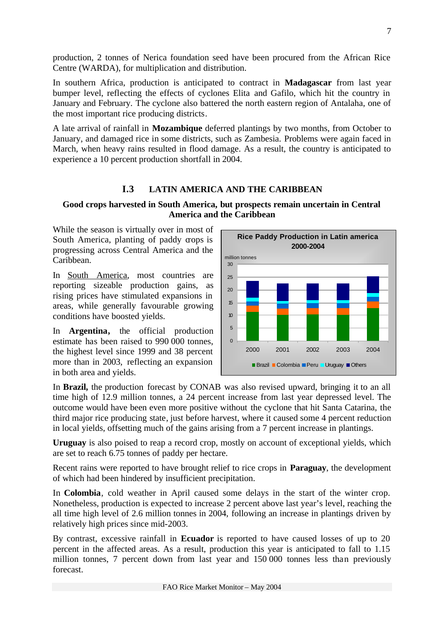production, 2 tonnes of Nerica foundation seed have been procured from the African Rice Centre (WARDA), for multiplication and distribution.

In southern Africa, production is anticipated to contract in **Madagascar** from last year bumper level, reflecting the effects of cyclones Elita and Gafilo, which hit the country in January and February. The cyclone also battered the north eastern region of Antalaha, one of the most important rice producing districts.

A late arrival of rainfall in **Mozambique** deferred plantings by two months, from October to January, and damaged rice in some districts, such as Zambesia. Problems were again faced in March, when heavy rains resulted in flood damage. As a result, the country is anticipated to experience a 10 percent production shortfall in 2004.

# **I.3 LATIN AMERICA AND THE CARIBBEAN**

# **Good crops harvested in South America, but prospects remain uncertain in Central America and the Caribbean**

While the season is virtually over in most of South America, planting of paddy crops is progressing across Central America and the Caribbean.

In South America, most countries are reporting sizeable production gains, as rising prices have stimulated expansions in areas, while generally favourable growing conditions have boosted yields.

In **Argentina,** the official production estimate has been raised to 990 000 tonnes, the highest level since 1999 and 38 percent more than in 2003, reflecting an expansion in both area and yields.



In **Brazil,** the production forecast by CONAB was also revised upward, bringing it to an all time high of 12.9 million tonnes, a 24 percent increase from last year depressed level. The outcome would have been even more positive without the cyclone that hit Santa Catarina, the third major rice producing state, just before harvest, where it caused some 4 percent reduction in local yields, offsetting much of the gains arising from a 7 percent increase in plantings.

**Uruguay** is also poised to reap a record crop, mostly on account of exceptional yields, which are set to reach 6.75 tonnes of paddy per hectare.

Recent rains were reported to have brought relief to rice crops in **Paraguay**, the development of which had been hindered by insufficient precipitation.

In **Colombia**, cold weather in April caused some delays in the start of the winter crop. Nonetheless, production is expected to increase 2 percent above last year's level, reaching the all time high level of 2.6 million tonnes in 2004, following an increase in plantings driven by relatively high prices since mid-2003.

By contrast, excessive rainfall in **Ecuador** is reported to have caused losses of up to 20 percent in the affected areas. As a result, production this year is anticipated to fall to 1.15 million tonnes, 7 percent down from last year and 150 000 tonnes less than previously forecast.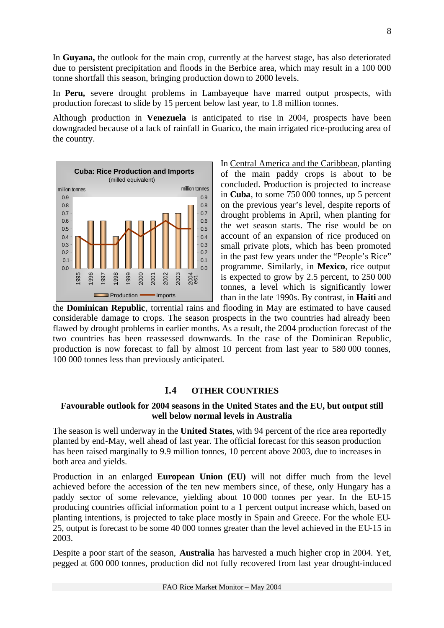In **Guyana,** the outlook for the main crop, currently at the harvest stage, has also deteriorated due to persistent precipitation and floods in the Berbice area, which may result in a 100 000 tonne shortfall this season, bringing production down to 2000 levels.

In **Peru,** severe drought problems in Lambayeque have marred output prospects, with production forecast to slide by 15 percent below last year, to 1.8 million tonnes.

Although production in **Venezuela** is anticipated to rise in 2004, prospects have been downgraded because of a lack of rainfall in Guarico, the main irrigated rice-producing area of the country.



In Central America and the Caribbean, planting of the main paddy crops is about to be concluded. Production is projected to increase in **Cuba**, to some 750 000 tonnes, up 5 percent on the previous year's level, despite reports of drought problems in April, when planting for the wet season starts. The rise would be on account of an expansion of rice produced on small private plots, which has been promoted in the past few years under the "People's Rice" programme. Similarly, in **Mexico**, rice output is expected to grow by 2.5 percent, to 250 000 tonnes, a level which is significantly lower than in the late 1990s. By contrast, in **Haiti** and

the **Dominican Republic**, torrential rains and flooding in May are estimated to have caused considerable damage to crops. The season prospects in the two countries had already been flawed by drought problems in earlier months. As a result, the 2004 production forecast of the two countries has been reassessed downwards. In the case of the Dominican Republic, production is now forecast to fall by almost 10 percent from last year to 580 000 tonnes, 100 000 tonnes less than previously anticipated.

# **I.4 OTHER COUNTRIES**

### **Favourable outlook for 2004 seasons in the United States and the EU, but output still well below normal levels in Australia**

The season is well underway in the **United States**, with 94 percent of the rice area reportedly planted by end-May, well ahead of last year. The official forecast for this season production has been raised marginally to 9.9 million tonnes, 10 percent above 2003, due to increases in both area and yields.

Production in an enlarged **European Union (EU)** will not differ much from the level achieved before the accession of the ten new members since, of these, only Hungary has a paddy sector of some relevance, yielding about 10 000 tonnes per year. In the EU-15 producing countries official information point to a 1 percent output increase which, based on planting intentions, is projected to take place mostly in Spain and Greece. For the whole EU-25, output is forecast to be some 40 000 tonnes greater than the level achieved in the EU-15 in 2003.

Despite a poor start of the season, **Australia** has harvested a much higher crop in 2004. Yet, pegged at 600 000 tonnes, production did not fully recovered from last year drought-induced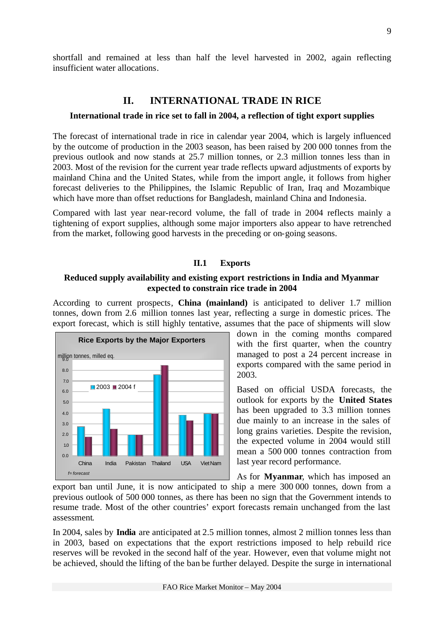shortfall and remained at less than half the level harvested in 2002, again reflecting insufficient water allocations.

# **II. INTERNATIONAL TRADE IN RICE**

#### **International trade in rice set to fall in 2004, a reflection of tight export supplies**

The forecast of international trade in rice in calendar year 2004, which is largely influenced by the outcome of production in the 2003 season, has been raised by 200 000 tonnes from the previous outlook and now stands at 25.7 million tonnes, or 2.3 million tonnes less than in 2003. Most of the revision for the current year trade reflects upward adjustments of exports by mainland China and the United States, while from the import angle, it follows from higher forecast deliveries to the Philippines, the Islamic Republic of Iran, Iraq and Mozambique which have more than offset reductions for Bangladesh, mainland China and Indonesia.

Compared with last year near-record volume, the fall of trade in 2004 reflects mainly a tightening of export supplies, although some major importers also appear to have retrenched from the market, following good harvests in the preceding or on-going seasons.

#### **II.1 Exports**

#### **Reduced supply availability and existing export restrictions in India and Myanmar expected to constrain rice trade in 2004**

According to current prospects, **China (mainland)** is anticipated to deliver 1.7 million tonnes, down from 2.6 million tonnes last year, reflecting a surge in domestic prices. The export forecast, which is still highly tentative, assumes that the pace of shipments will slow



down in the coming months compared with the first quarter, when the country managed to post a 24 percent increase in exports compared with the same period in 2003.

Based on official USDA forecasts, the outlook for exports by the **United States** has been upgraded to 3.3 million tonnes due mainly to an increase in the sales of long grains varieties. Despite the revision, the expected volume in 2004 would still mean a 500 000 tonnes contraction from last year record performance.

As for **Myanmar**, which has imposed an

export ban until June, it is now anticipated to ship a mere 300 000 tonnes, down from a previous outlook of 500 000 tonnes, as there has been no sign that the Government intends to resume trade. Most of the other countries' export forecasts remain unchanged from the last assessment.

In 2004, sales by **India** are anticipated at 2.5 million tonnes, almost 2 million tonnes less than in 2003, based on expectations that the export restrictions imposed to help rebuild rice reserves will be revoked in the second half of the year. However, even that volume might not be achieved, should the lifting of the ban be further delayed. Despite the surge in international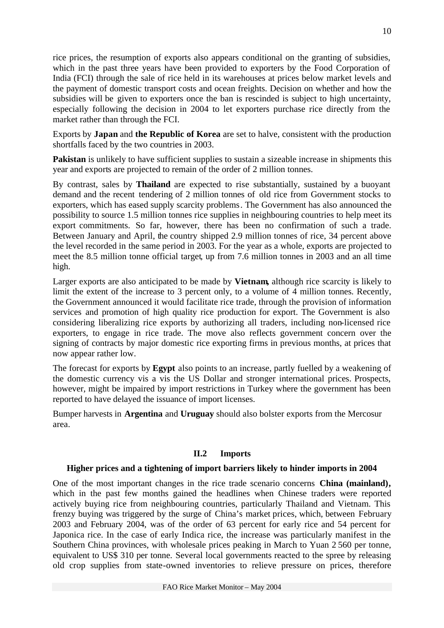rice prices, the resumption of exports also appears conditional on the granting of subsidies, which in the past three years have been provided to exporters by the Food Corporation of India (FCI) through the sale of rice held in its warehouses at prices below market levels and the payment of domestic transport costs and ocean freights. Decision on whether and how the subsidies will be given to exporters once the ban is rescinded is subject to high uncertainty, especially following the decision in 2004 to let exporters purchase rice directly from the market rather than through the FCI.

Exports by **Japan** and **the Republic of Korea** are set to halve, consistent with the production shortfalls faced by the two countries in 2003.

**Pakistan** is unlikely to have sufficient supplies to sustain a sizeable increase in shipments this year and exports are projected to remain of the order of 2 million tonnes.

By contrast, sales by **Thailand** are expected to rise substantially, sustained by a buoyant demand and the recent tendering of 2 million tonnes of old rice from Government stocks to exporters, which has eased supply scarcity problems. The Government has also announced the possibility to source 1.5 million tonnes rice supplies in neighbouring countries to help meet its export commitments. So far, however, there has been no confirmation of such a trade. Between January and April, the country shipped 2.9 million tonnes of rice, 34 percent above the level recorded in the same period in 2003. For the year as a whole, exports are projected to meet the 8.5 million tonne official target, up from 7.6 million tonnes in 2003 and an all time high.

Larger exports are also anticipated to be made by **Vietnam,** although rice scarcity is likely to limit the extent of the increase to 3 percent only, to a volume of 4 million tonnes. Recently, the Government announced it would facilitate rice trade, through the provision of information services and promotion of high quality rice production for export. The Government is also considering liberalizing rice exports by authorizing all traders, including non-licensed rice exporters, to engage in rice trade. The move also reflects government concern over the signing of contracts by major domestic rice exporting firms in previous months, at prices that now appear rather low.

The forecast for exports by **Egypt** also points to an increase, partly fuelled by a weakening of the domestic currency vis a vis the US Dollar and stronger international prices. Prospects, however, might be impaired by import restrictions in Turkey where the government has been reported to have delayed the issuance of import licenses.

Bumper harvests in **Argentina** and **Uruguay** should also bolster exports from the Mercosur area.

# **II.2 Imports**

#### **Higher prices and a tightening of import barriers likely to hinder imports in 2004**

One of the most important changes in the rice trade scenario concerns **China (mainland),**  which in the past few months gained the headlines when Chinese traders were reported actively buying rice from neighbouring countries, particularly Thailand and Vietnam. This frenzy buying was triggered by the surge of China's market prices, which, between February 2003 and February 2004, was of the order of 63 percent for early rice and 54 percent for Japonica rice. In the case of early Indica rice, the increase was particularly manifest in the Southern China provinces, with wholesale prices peaking in March to Yuan 2 560 per tonne, equivalent to US\$ 310 per tonne. Several local governments reacted to the spree by releasing old crop supplies from state-owned inventories to relieve pressure on prices, therefore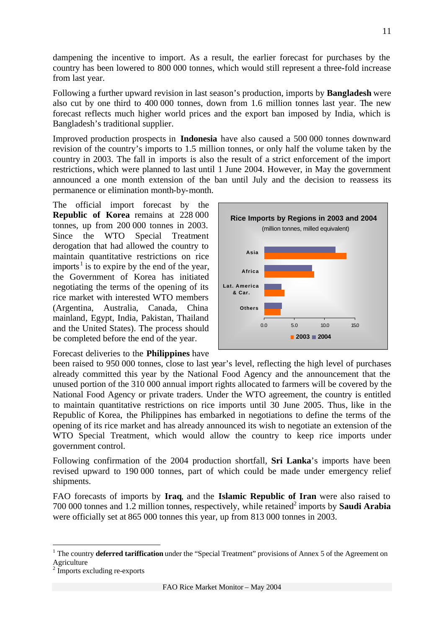dampening the incentive to import. As a result, the earlier forecast for purchases by the country has been lowered to 800 000 tonnes, which would still represent a three-fold increase from last year.

Following a further upward revision in last season's production, imports by **Bangladesh** were also cut by one third to 400 000 tonnes, down from 1.6 million tonnes last year. The new forecast reflects much higher world prices and the export ban imposed by India, which is Bangladesh's traditional supplier.

Improved production prospects in **Indonesia** have also caused a 500 000 tonnes downward revision of the country's imports to 1.5 million tonnes, or only half the volume taken by the country in 2003. The fall in imports is also the result of a strict enforcement of the import restrictions, which were planned to last until 1 June 2004. However, in May the government announced a one month extension of the ban until July and the decision to reassess its permanence or elimination month-by-month.

The official import forecast by the **Republic of Korea** remains at 228 000 tonnes, up from 200 000 tonnes in 2003. Since the WTO Special Treatment derogation that had allowed the country to maintain quantitative restrictions on rice imports<sup>1</sup> is to expire by the end of the year, the Government of Korea has initiated negotiating the terms of the opening of its rice market with interested WTO members (Argentina, Australia, Canada, China mainland, Egypt, India, Pakistan, Thailand and the United States). The process should be completed before the end of the year.

0.0 5.0 10.0 15.0 **Others Lat. America & Car. Africa Asia** (million tonnes, milled equivalent) **2003 2004 Rice Imports by Regions in 2003 and 2004**

Forecast deliveries to the **Philippines** have

been raised to 950 000 tonnes, close to last year's level, reflecting the high level of purchases already committed this year by the National Food Agency and the announcement that the unused portion of the 310 000 annual import rights allocated to farmers will be covered by the National Food Agency or private traders. Under the WTO agreement, the country is entitled to maintain quantitative restrictions on rice imports until 30 June 2005. Thus, like in the Republic of Korea, the Philippines has embarked in negotiations to define the terms of the opening of its rice market and has already announced its wish to negotiate an extension of the WTO Special Treatment, which would allow the country to keep rice imports under government control.

Following confirmation of the 2004 production shortfall, **Sri Lanka**'s imports have been revised upward to 190 000 tonnes, part of which could be made under emergency relief shipments.

FAO forecasts of imports by **Iraq**, and the **Islamic Republic of Iran** were also raised to 700 000 tonnes and 1.2 million tonnes, respectively, while retained<sup>2</sup> imports by **Saudi Arabia** were officially set at 865 000 tonnes this year, up from 813 000 tonnes in 2003.

 $\overline{a}$ 

11

<sup>&</sup>lt;sup>1</sup> The country **deferred tariffication** under the "Special Treatment" provisions of Annex 5 of the Agreement on Agriculture

<sup>&</sup>lt;sup>2</sup> Imports excluding re-exports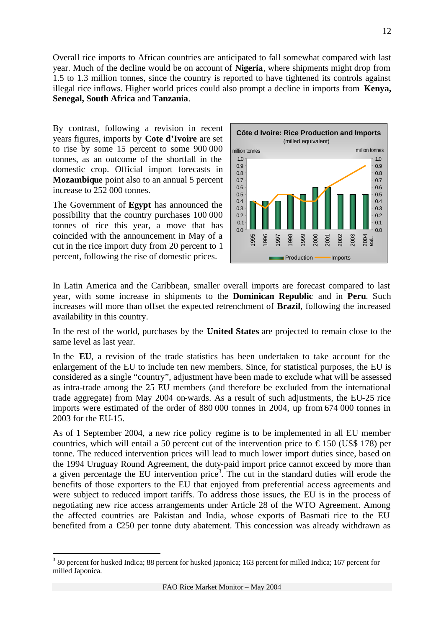Overall rice imports to African countries are anticipated to fall somewhat compared with last year. Much of the decline would be on account of **Nigeria**, where shipments might drop from 1.5 to 1.3 million tonnes, since the country is reported to have tightened its controls against illegal rice inflows. Higher world prices could also prompt a decline in imports from **Kenya, Senegal, South Africa** and **Tanzania**.

By contrast, following a revision in recent years figures, imports by **Cote d'Ivoire** are set to rise by some 15 percent to some 900 000 tonnes, as an outcome of the shortfall in the domestic crop. Official import forecasts in **Mozambique** point also to an annual 5 percent increase to 252 000 tonnes.

The Government of **Egypt** has announced the possibility that the country purchases 100 000 tonnes of rice this year, a move that has coincided with the announcement in May of a cut in the rice import duty from 20 percent to 1 percent, following the rise of domestic prices.

l



In Latin America and the Caribbean, smaller overall imports are forecast compared to last year, with some increase in shipments to the **Dominican Republic** and in **Peru**. Such increases will more than offset the expected retrenchment of **Brazil**, following the increased availability in this country.

In the rest of the world, purchases by the **United States** are projected to remain close to the same level as last year.

In the **EU**, a revision of the trade statistics has been undertaken to take account for the enlargement of the EU to include ten new members. Since, for statistical purposes, the EU is considered as a single "country", adjustment have been made to exclude what will be assessed as intra-trade among the 25 EU members (and therefore be excluded from the international trade aggregate) from May 2004 on-wards. As a result of such adjustments, the EU-25 rice imports were estimated of the order of 880 000 tonnes in 2004, up from 674 000 tonnes in 2003 for the EU-15.

As of 1 September 2004, a new rice policy regime is to be implemented in all EU member countries, which will entail a 50 percent cut of the intervention price to  $\epsilon$ 150 (US\$ 178) per tonne. The reduced intervention prices will lead to much lower import duties since, based on the 1994 Uruguay Round Agreement, the duty-paid import price cannot exceed by more than a given percentage the EU intervention price<sup>3</sup>. The cut in the standard duties will erode the benefits of those exporters to the EU that enjoyed from preferential access agreements and were subject to reduced import tariffs. To address those issues, the EU is in the process of negotiating new rice access arrangements under Article 28 of the WTO Agreement. Among the affected countries are Pakistan and India, whose exports of Basmati rice to the EU benefited from a  $\epsilon$ 250 per tonne duty abatement. This concession was already withdrawn as

<sup>&</sup>lt;sup>3</sup> 80 percent for husked Indica; 88 percent for husked japonica; 163 percent for milled Indica; 167 percent for milled Japonica.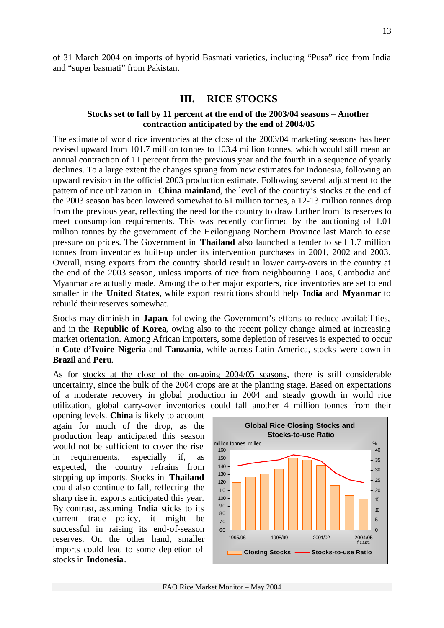of 31 March 2004 on imports of hybrid Basmati varieties, including "Pusa" rice from India and "super basmati" from Pakistan.

# **III. RICE STOCKS**

### **Stocks set to fall by 11 percent at the end of the 2003/04 seasons – Another contraction anticipated by the end of 2004/05**

The estimate of world rice inventories at the close of the 2003/04 marketing seasons has been revised upward from 101.7 million tonnes to 103.4 million tonnes, which would still mean an annual contraction of 11 percent from the previous year and the fourth in a sequence of yearly declines. To a large extent the changes sprang from new estimates for Indonesia, following an upward revision in the official 2003 production estimate. Following several adjustment to the pattern of rice utilization in **China mainland**, the level of the country's stocks at the end of the 2003 season has been lowered somewhat to 61 million tonnes, a 12-13 million tonnes drop from the previous year, reflecting the need for the country to draw further from its reserves to meet consumption requirements. This was recently confirmed by the auctioning of 1.01 million tonnes by the government of the Heilongjiang Northern Province last March to ease pressure on prices. The Government in **Thailand** also launched a tender to sell 1.7 million tonnes from inventories built-up under its intervention purchases in 2001, 2002 and 2003. Overall, rising exports from the country should result in lower carry-overs in the country at the end of the 2003 season, unless imports of rice from neighbouring Laos, Cambodia and Myanmar are actually made. Among the other major exporters, rice inventories are set to end smaller in the **United States**, while export restrictions should help **India** and **Myanmar** to rebuild their reserves somewhat.

Stocks may diminish in **Japan**, following the Government's efforts to reduce availabilities, and in the **Republic of Korea**, owing also to the recent policy change aimed at increasing market orientation. Among African importers, some depletion of reserves is expected to occur in **Cote d'Ivoire Nigeria** and **Tanzania**, while across Latin America, stocks were down in **Brazil** and **Peru**.

As for stocks at the close of the on-going 2004/05 seasons, there is still considerable uncertainty, since the bulk of the 2004 crops are at the planting stage. Based on expectations of a moderate recovery in global production in 2004 and steady growth in world rice utilization, global carry-over inventories could fall another 4 million tonnes from their

opening levels. **China** is likely to account again for much of the drop, as the production leap anticipated this season would not be sufficient to cover the rise in requirements, especially if, as expected, the country refrains from stepping up imports. Stocks in **Thailand** could also continue to fall, reflecting the sharp rise in exports anticipated this year. By contrast, assuming **India** sticks to its current trade policy, it might be successful in raising its end-of-season reserves. On the other hand, smaller imports could lead to some depletion of stocks in **Indonesia**.

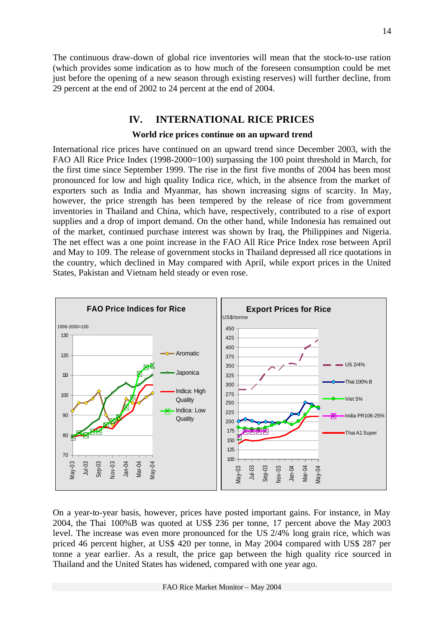The continuous draw-down of global rice inventories will mean that the stock-to-use ration (which provides some indication as to how much of the foreseen consumption could be met just before the opening of a new season through existing reserves) will further decline, from 29 percent at the end of 2002 to 24 percent at the end of 2004.

# **IV. INTERNATIONAL RICE PRICES**

#### **World rice prices continue on an upward trend**

International rice prices have continued on an upward trend since December 2003, with the FAO All Rice Price Index (1998-2000=100) surpassing the 100 point threshold in March, for the first time since September 1999. The rise in the first five months of 2004 has been most pronounced for low and high quality Indica rice, which, in the absence from the market of exporters such as India and Myanmar, has shown increasing signs of scarcity. In May, however, the price strength has been tempered by the release of rice from government inventories in Thailand and China, which have, respectively, contributed to a rise of export supplies and a drop of import demand. On the other hand, while Indonesia has remained out of the market, continued purchase interest was shown by Iraq, the Philippines and Nigeria. The net effect was a one point increase in the FAO All Rice Price Index rose between April and May to 109. The release of government stocks in Thailand depressed all rice quotations in the country, which declined in May compared with April, while export prices in the United States, Pakistan and Vietnam held steady or even rose.



On a year-to-year basis, however, prices have posted important gains. For instance, in May 2004, the Thai 100%B was quoted at US\$ 236 per tonne, 17 percent above the May 2003 level. The increase was even more pronounced for the US 2/4% long grain rice, which was priced 46 percent higher, at US\$ 420 per tonne, in May 2004 compared with US\$ 287 per tonne a year earlier. As a result, the price gap between the high quality rice sourced in Thailand and the United States has widened, compared with one year ago.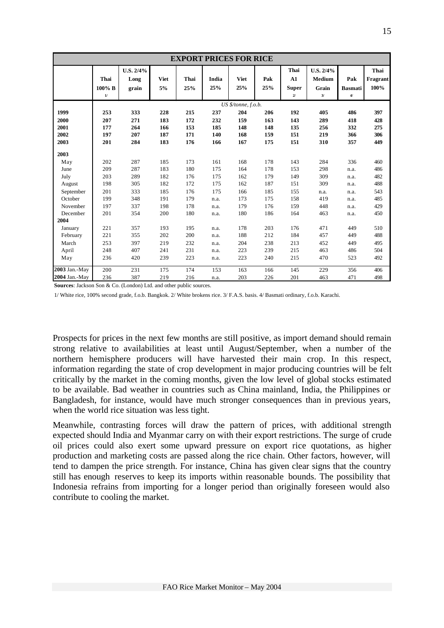|                                      | <b>EXPORT PRICES FOR RICE</b>   |                                 |                                 |                                 |                                 |                                 |                                 |                                                |                                           |                                 |                                 |
|--------------------------------------|---------------------------------|---------------------------------|---------------------------------|---------------------------------|---------------------------------|---------------------------------|---------------------------------|------------------------------------------------|-------------------------------------------|---------------------------------|---------------------------------|
|                                      | Thai<br>$100\%$ B<br>$1/$       | U.S. 2/4%<br>Long<br>grain      | <b>Viet</b><br>5%               | Thai<br>25%                     | India<br>25%                    | <b>Viet</b><br>25%              | Pak<br>25%                      | Thai<br>A1<br><b>Super</b><br>$\boldsymbol{2}$ | U.S. 2/4%<br><b>Medium</b><br>Grain<br>3/ | Pak<br><b>Basmati</b><br>4/     | Thai<br>Fragrant<br>100%        |
|                                      |                                 |                                 |                                 |                                 |                                 | US \$/tonne, f.o.b.             |                                 |                                                |                                           |                                 |                                 |
| 1999<br>2000<br>2001<br>2002<br>2003 | 253<br>207<br>177<br>197<br>201 | 333<br>271<br>264<br>207<br>284 | 228<br>183<br>166<br>187<br>183 | 215<br>172<br>153<br>171<br>176 | 237<br>232<br>185<br>140<br>166 | 204<br>159<br>148<br>168<br>167 | 206<br>163<br>148<br>159<br>175 | 192<br>143<br>135<br>151<br>151                | 405<br>289<br>256<br>219<br>310           | 486<br>418<br>332<br>366<br>357 | 397<br>428<br>275<br>306<br>449 |
| 2003                                 |                                 |                                 |                                 |                                 |                                 |                                 |                                 |                                                |                                           |                                 |                                 |
| May                                  | 202                             | 287                             | 185                             | 173                             | 161                             | 168                             | 178                             | 143                                            | 284                                       | 336                             | 460                             |
| June                                 | 209                             | 287                             | 183                             | 180                             | 175                             | 164                             | 178                             | 153                                            | 298                                       | n.a.                            | 486                             |
| July<br>August                       | 203<br>198                      | 289<br>305                      | 182<br>182                      | 176<br>172                      | 175<br>175                      | 162<br>162                      | 179<br>187                      | 149<br>151                                     | 309<br>309                                | n.a.<br>n.a.                    | 482<br>488                      |
| September                            | 201                             | 333                             | 185                             | 176                             | 175                             | 166                             | 185                             | 155                                            | n.a.                                      | n.a.                            | 543                             |
| October                              | 199                             | 348                             | 191                             | 179                             | n.a.                            | 173                             | 175                             | 158                                            | 419                                       | n.a.                            | 485                             |
| November<br>December                 | 197<br>201                      | 337<br>354                      | 198<br>200                      | 178<br>180                      | n.a.<br>n.a.                    | 179<br>180                      | 176<br>186                      | 159<br>164                                     | 448<br>463                                | n.a.<br>n.a.                    | 429<br>450                      |
| 2004                                 |                                 |                                 |                                 |                                 |                                 |                                 |                                 |                                                |                                           |                                 |                                 |
| January                              | 221                             | 357                             | 193                             | 195                             | n.a.                            | 178                             | 203                             | 176                                            | 471                                       | 449                             | 510                             |
| February                             | 221                             | 355                             | 202                             | 200                             | n.a.                            | 188                             | 212                             | 184                                            | 457                                       | 449                             | 488                             |
| March                                | 253                             | 397                             | 219                             | 232                             | n.a.                            | 204                             | 238                             | 213                                            | 452                                       | 449                             | 495                             |
| April<br>May                         | 248<br>236                      | 407<br>420                      | 241<br>239                      | 231<br>223                      | n.a.<br>n.a.                    | 223<br>223                      | 239<br>240                      | 215<br>215                                     | 463<br>470                                | 486<br>523                      | 504<br>492                      |
| 2003 Jan.-May                        | 200                             | 231                             | 175                             | 174                             | 153                             | 163                             | 166                             | 145                                            | 229                                       | 356                             | 406                             |
| 2004 Jan.-May                        | 236                             | 387                             | 219                             | 216                             | n.a.                            | 203                             | 226                             | 201                                            | 463                                       | 471                             | 498                             |

**Sources**: Jackson Son & Co. (London) Ltd. and other public sources.

1/ White rice, 100% second grade, f.o.b. Bangkok. 2/ White brokens rice. 3/ F.A.S. basis. 4/ Basmati ordinary, f.o.b. Karachi.

Prospects for prices in the next few months are still positive, as import demand should remain strong relative to availabilities at least until August/September, when a number of the northern hemisphere producers will have harvested their main crop. In this respect, information regarding the state of crop development in major producing countries will be felt critically by the market in the coming months, given the low level of global stocks estimated to be available. Bad weather in countries such as China mainland, India, the Philippines or Bangladesh, for instance, would have much stronger consequences than in previous years, when the world rice situation was less tight.

Meanwhile, contrasting forces will draw the pattern of prices, with additional strength expected should India and Myanmar carry on with their export restrictions. The surge of crude oil prices could also exert some upward pressure on export rice quotations, as higher production and marketing costs are passed along the rice chain. Other factors, however, will tend to dampen the price strength. For instance, China has given clear signs that the country still has enough reserves to keep its imports within reasonable bounds. The possibility that Indonesia refrains from importing for a longer period than originally foreseen would also contribute to cooling the market.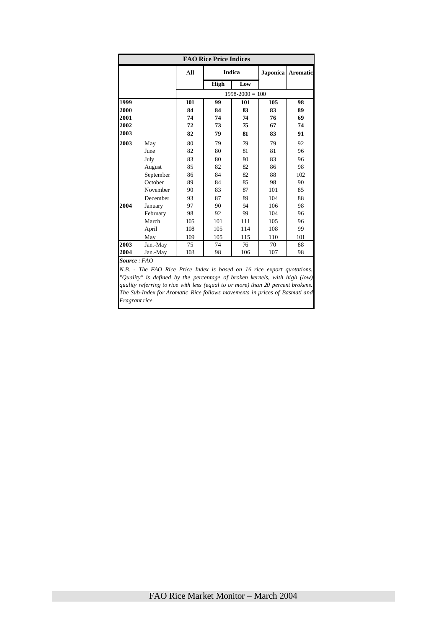|      |           | All |             | <b>Indica</b>       | Japonica | <b>Aromatic</b> |  |
|------|-----------|-----|-------------|---------------------|----------|-----------------|--|
|      |           |     | <b>High</b> | Low                 |          |                 |  |
|      |           |     |             | $1998 - 2000 = 100$ |          |                 |  |
| 1999 |           | 101 | 99          | 101                 | 105      | 98              |  |
| 2000 |           | 84  | 84          | 83                  | 83       | 89              |  |
| 2001 |           | 74  | 74          | 74                  | 76       | 69              |  |
| 2002 |           | 72  | 73          | 75                  | 67       | 74              |  |
| 2003 |           | 82  | 79          | 81                  | 83       | 91              |  |
| 2003 | May       | 80  | 79          | 79                  | 79       | 92              |  |
|      | June      | 82  | 80          | 81                  | 81       | 96              |  |
|      | July      | 83  | 80          | 80                  | 83       | 96              |  |
|      | August    | 85  | 82          | 82                  | 86       | 98              |  |
|      | September | 86  | 84          | 82                  | 88       | 102             |  |
|      | October   | 89  | 84          | 85                  | 98       | 90              |  |
|      | November  | 90  | 83          | 87                  | 101      | 85              |  |
|      | December  | 93  | 87          | 89                  | 104      | 88              |  |
| 2004 | January   | 97  | 90          | 94                  | 106      | 98              |  |
|      | February  | 98  | 92          | 99                  | 104      | 96              |  |
|      | March     | 105 | 101         | 111                 | 105      | 96              |  |
|      | April     | 108 | 105         | 114                 | 108      | 99              |  |
|      | May       | 109 | 105         | 115                 | 110      | 101             |  |
| 2003 | Jan.-May  | 75  | 74          | 76                  | 70       | 88              |  |
| 2004 | Jan.-May  | 103 | 98          | 106                 | 107      | 98              |  |

*N.B. - The FAO Rice Price Index is based on 16 rice export quotations. "Quality" is defined by the percentage of broken kernels, with high (low) quality referring to rice with less (equal to or more) than 20 percent brokens. The Sub-Index for Aromatic Rice follows movements in prices of Basmati and Fragrant rice.*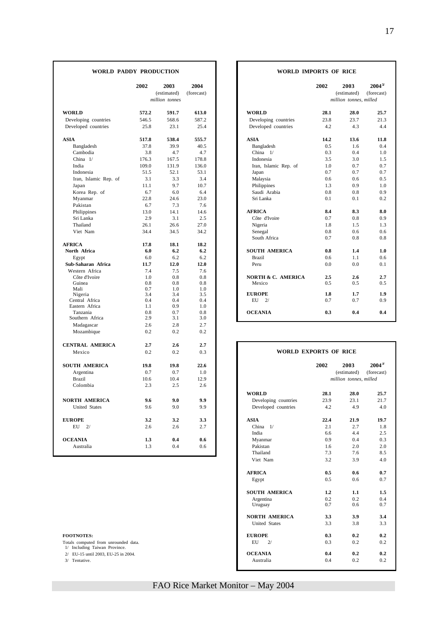# FAO Rice Market Monitor – May 2004

Southern Africa 2.9 3.1 3.0<br>Madagascar 2.6 2.8 2.7 Madagascar 2.6 2.8 2.7<br>Mozambique 0.2 0.2 0.2 0.2

**CENTRAL AMERICA 2.7 2.6 2.7** Mexico 0.2 0.2 0.3

Mozambique

- Totals computed from unrounded data.
- 1/ Including Taiwan Province. 2/ EU-15 until 2003, EU-25 in 2004.
- 

#### **WORLD PADDY PRODUCTION WORLD IMPORTS OF RICE**

|                       | 2002           | 2003<br>(estimated) | 2004<br>(forecast) |                               | 2002 | 2003<br>(estimated) | $2004^{3/2}$<br>(forecast) |
|-----------------------|----------------|---------------------|--------------------|-------------------------------|------|---------------------|----------------------------|
|                       | million tonnes |                     |                    |                               |      |                     | million tonnes, milled     |
| <b>WORLD</b>          | 572.2          | 591.7               | 613.0              | <b>WORLD</b>                  | 28.1 | 28.0                | 25.7                       |
| Developing countries  | 546.5          | 568.6               | 587.2              | Developing countries          | 23.8 | 23.7                | 21.3                       |
| Developed countries   | 25.8           | 23.1                | 25.4               | Developed countries           | 4.2  | 4.3                 | 4.4                        |
| ASIA                  | 517.8          | 538.4               | 555.7              | <b>ASIA</b>                   | 14.2 | 13.6                | 11.8                       |
| Bangladesh            | 37.8           | 39.9                | 40.5               | Bangladesh                    | 0.5  | 1.6                 | 0.4                        |
| Cambodia              | 3.8            | 4.7                 | 4.7                | China $1/$                    | 0.3  | 0.4                 | 1.0                        |
| China $1/$            | 176.3          | 167.5               | 178.8              | Indonesia                     | 3.5  | 3.0                 | 1.5                        |
| India                 | 109.0          | 131.9               | 136.0              | Iran, Islamic Rep. of         | 1.0  | 0.7                 | 0.7                        |
| Indonesia             | 51.5           | 52.1                | 53.1               | Japan                         | 0.7  | 0.7                 | 0.7                        |
| Iran, Islamic Rep. of | 3.1            | 3.3                 | 3.4                | Malaysia                      | 0.6  | 0.6                 | 0.5                        |
| Japan                 | 11.1           | 9.7                 | 10.7               | Philippines                   | 1.3  | 0.9                 | 1.0                        |
| Korea Rep. of         | 6.7            | 6.0                 | 6.4                | Saudi Arabia                  | 0.8  | 0.8                 | 0.9                        |
| Myanmar               | 22.8           | 24.6                | 23.0               | Sri Lanka                     | 0.1  | 0.1                 | 0.2                        |
| Pakistan              | 6.7            | 7.3                 | 7.6                |                               |      |                     |                            |
| Philippines           | 13.0           | 14.1                | 14.6               | <b>AFRICA</b>                 | 8.4  | 8.3                 | 8.0                        |
| Sri Lanka             | 2.9            | 3.1                 | 2.5                | Côte d'Ivoire                 | 0.7  | 0.8                 | 0.9                        |
| Thailand              | 26.1           | 26.6                | 27.0               | Nigeria                       | 1.8  | 1.5                 | 1.3                        |
| Viet Nam              | 34.4           | 34.5                | 34.2               | Senegal                       | 0.8  | 0.6                 | 0.6                        |
|                       |                |                     |                    | South Africa                  | 0.7  | 0.8                 | 0.8                        |
| <b>AFRICA</b>         | 17.8           | 18.1                | 18.2               |                               |      |                     |                            |
| North Africa          | 6.0            | 6.2                 | 6.2                | <b>SOUTH AMERICA</b>          | 0.8  | 1.4                 | 1.0                        |
| Egypt                 | 6.0            | 6.2                 | 6.2                | <b>Brazil</b>                 | 0.6  | 1.1                 | 0.6                        |
| Sub-Saharan Africa    | 11.7           | 12.0                | 12.0               | Peru                          | 0.0  | 0.0                 | 0.1                        |
| Western Africa        | 7.4            | 7.5                 | 7.6                |                               |      |                     |                            |
| Côte d'Ivoire         | 1.0            | 0.8                 | 0.8                | <b>NORTH &amp; C. AMERICA</b> | 2.5  | 2.6                 | 2.7                        |
| Guinea                | 0.8            | 0.8                 | 0.8                | Mexico                        | 0.5  | 0.5                 | 0.5                        |
| Mali                  | 0.7            | 1.0                 | 1.0                |                               |      |                     |                            |
| Nigeria               | 3.4            | 3.4                 | 3.5                | <b>EUROPE</b>                 | 1.8  | 1.7                 | 1.9                        |
| Central Africa        | 0.4            | 0.4                 | 0.4                | EU<br>2/                      | 0.7  | 0.7                 | 0.9                        |
| Eastern Africa        | 1.1            | 0.9                 | 1.0                |                               |      |                     |                            |
| Tanzania              | 0.8            | 0.7                 | 0.8                | <b>OCEANIA</b>                | 0.3  | 0.4                 | 0.4                        |
| Southern Africa       | 2.9            | 3.1                 | 3.0                |                               |      |                     |                            |

| селтиме миемсм                                                        |                   | ,    | .    |                      |                              |                        |              |  |  |  |
|-----------------------------------------------------------------------|-------------------|------|------|----------------------|------------------------------|------------------------|--------------|--|--|--|
| Mexico                                                                | 0.2<br>0.2<br>0.3 |      |      |                      | <b>WORLD EXPORTS OF RICE</b> |                        |              |  |  |  |
| SOUTH AMERICA                                                         | 19.8              | 19.8 | 22.6 |                      | 2002                         | 2003                   | $2004^{3/2}$ |  |  |  |
| Argentina                                                             | 0.7               | 0.7  | 1.0  |                      |                              | (estimated)            | (forecast)   |  |  |  |
| <b>Brazil</b>                                                         | 10.6              | 10.4 | 12.9 |                      |                              | million tonnes, milled |              |  |  |  |
| Colombia                                                              | 2.3               | 2.5  | 2.6  |                      |                              |                        |              |  |  |  |
|                                                                       |                   |      |      | <b>WORLD</b>         | 28.1                         | 28.0                   | 25.7         |  |  |  |
| <b>NORTH AMERICA</b>                                                  | 9.6               | 9.0  | 9.9  | Developing countries | 23.9                         | 23.1                   | 21.7         |  |  |  |
| <b>United States</b>                                                  | 9.6               | 9.0  | 9.9  | Developed countries  | 4.2                          | 4.9                    | 4.0          |  |  |  |
| <b>EUROPE</b>                                                         | 3.2               | 3.2  | 3.3  | <b>ASIA</b>          | 22.4                         | 21.9                   | 19.7         |  |  |  |
| $EU$ 2/                                                               | 2.6               | 2.6  | 2.7  | China $1/$           | 2.1                          | 2.7                    | 1.8          |  |  |  |
|                                                                       |                   |      |      | India                | 6.6                          | 4.4                    | 2.5          |  |  |  |
| <b>OCEANIA</b>                                                        | 1.3               | 0.4  | 0.6  | Myanmar              | 0.9                          | 0.4                    | 0.3          |  |  |  |
| Australia                                                             | 1.3               | 0.4  | 0.6  | Pakistan             | 1.6                          | 2.0                    | 2.0          |  |  |  |
|                                                                       |                   |      |      | Thailand             | 7.3                          | 7.6                    | 8.5          |  |  |  |
|                                                                       |                   |      |      | Viet Nam             | 3.2                          | 3.9                    | 4.0          |  |  |  |
|                                                                       |                   |      |      | <b>AFRICA</b>        | 0.5                          | 0.6                    | 0.7          |  |  |  |
|                                                                       |                   |      |      | Egypt                | 0.5                          | 0.6                    | 0.7          |  |  |  |
|                                                                       |                   |      |      | <b>SOUTH AMERICA</b> | 1.2                          | 1.1                    | 1.5          |  |  |  |
|                                                                       |                   |      |      | Argentina            | 0.2                          | 0.2                    | 0.4          |  |  |  |
|                                                                       |                   |      |      | Uruguay              | 0.7                          | 0.6                    | 0.7          |  |  |  |
|                                                                       |                   |      |      | <b>NORTH AMERICA</b> | 3.3                          | 3.9                    | 3.4          |  |  |  |
|                                                                       |                   |      |      | <b>United States</b> | 3.3                          | 3.8                    | 3.3          |  |  |  |
| <b>FOOTNOTES:</b>                                                     |                   |      |      | <b>EUROPE</b>        | 0.3                          | 0.2                    | 0.2          |  |  |  |
| Totals computed from unrounded data.<br>1/ Including Taiwan Province. |                   |      |      | EU<br>2/             | 0.3                          | 0.2                    | 0.2          |  |  |  |
| 2/ EU-15 until 2003, EU-25 in 2004.                                   |                   |      |      | <b>OCEANIA</b>       | 0.4                          | 0.2                    | 0.2          |  |  |  |
| 3/ Tentative.                                                         |                   |      |      | Australia            | 0.4                          | 0.2                    | 0.2          |  |  |  |
|                                                                       |                   |      |      |                      |                              |                        |              |  |  |  |